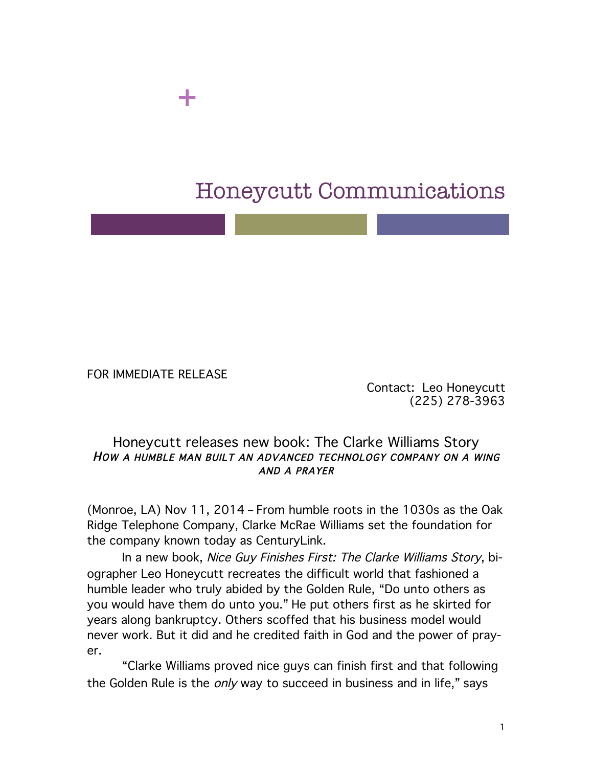## Honeycutt Communications

FOR IMMEDIATE RELEASE

+

Contact: Leo Honeycutt (225) 278-3963

## Honeycutt releases new book: The Clarke Williams Story HOW A HUMBLE MAN BUILT AN ADVANCED TECHNOLOGY COMPANY ON A WING AND A PRAYER

(Monroe, LA) Nov 11, 2014 – From humble roots in the 1030s as the Oak Ridge Telephone Company, Clarke McRae Williams set the foundation for the company known today as CenturyLink.

In a new book, Nice Guy Finishes First: The Clarke Williams Story, biographer Leo Honeycutt recreates the difficult world that fashioned a humble leader who truly abided by the Golden Rule, "Do unto others as you would have them do unto you." He put others first as he skirted for years along bankruptcy. Others scoffed that his business model would never work. But it did and he credited faith in God and the power of prayer.

"Clarke Williams proved nice guys can finish first and that following the Golden Rule is the *only* way to succeed in business and in life," says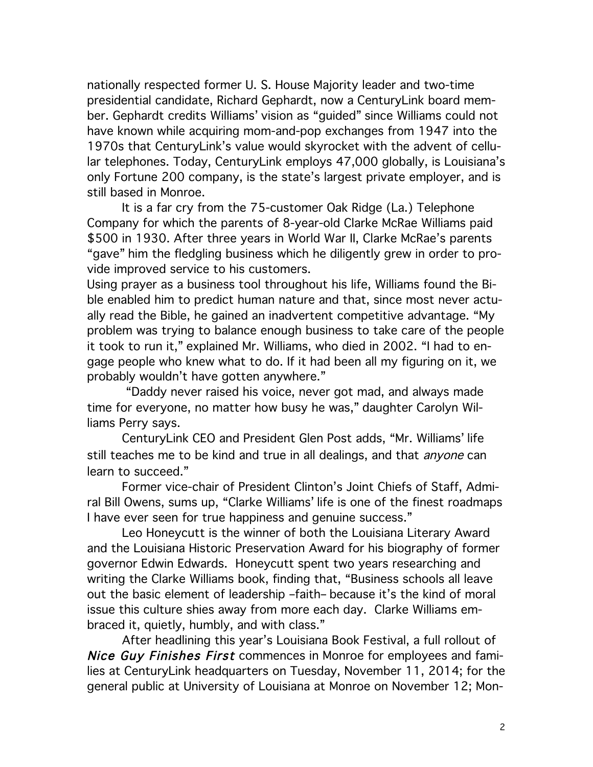nationally respected former U. S. House Majority leader and two-time presidential candidate, Richard Gephardt, now a CenturyLink board member. Gephardt credits Williams' vision as "guided" since Williams could not have known while acquiring mom-and-pop exchanges from 1947 into the 1970s that CenturyLink's value would skyrocket with the advent of cellular telephones. Today, CenturyLink employs 47,000 globally, is Louisiana's only Fortune 200 company, is the state's largest private employer, and is still based in Monroe.

It is a far cry from the 75-customer Oak Ridge (La.) Telephone Company for which the parents of 8-year-old Clarke McRae Williams paid \$500 in 1930. After three years in World War II, Clarke McRae's parents "gave" him the fledgling business which he diligently grew in order to provide improved service to his customers.

Using prayer as a business tool throughout his life, Williams found the Bible enabled him to predict human nature and that, since most never actually read the Bible, he gained an inadvertent competitive advantage. "My problem was trying to balance enough business to take care of the people it took to run it," explained Mr. Williams, who died in 2002. "I had to engage people who knew what to do. If it had been all my figuring on it, we probably wouldn't have gotten anywhere."

"Daddy never raised his voice, never got mad, and always made time for everyone, no matter how busy he was," daughter Carolyn Williams Perry says.

CenturyLink CEO and President Glen Post adds, "Mr. Williams' life still teaches me to be kind and true in all dealings, and that *anyone* can learn to succeed."

Former vice-chair of President Clinton's Joint Chiefs of Staff, Admiral Bill Owens, sums up, "Clarke Williams' life is one of the finest roadmaps I have ever seen for true happiness and genuine success."

Leo Honeycutt is the winner of both the Louisiana Literary Award and the Louisiana Historic Preservation Award for his biography of former governor Edwin Edwards. Honeycutt spent two years researching and writing the Clarke Williams book, finding that, "Business schools all leave out the basic element of leadership –faith– because it's the kind of moral issue this culture shies away from more each day. Clarke Williams embraced it, quietly, humbly, and with class."

After headlining this year's Louisiana Book Festival, a full rollout of Nice Guy Finishes First commences in Monroe for employees and families at CenturyLink headquarters on Tuesday, November 11, 2014; for the general public at University of Louisiana at Monroe on November 12; Mon-